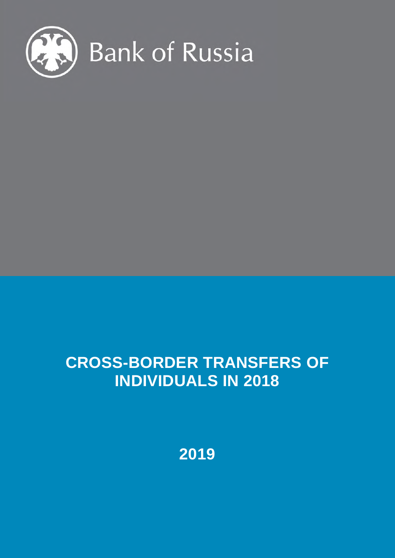

## **CROSS-BORDER TRANSFERS OF INDIVIDUALS IN 2018**

**2019**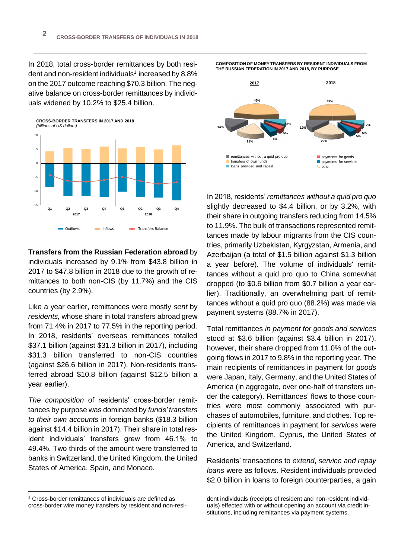In 2018, total cross-border remittances by both resident and non-resident individuals<sup>1</sup> increased by 8.8% on the 2017 outcome reaching \$70.3 billion. The negative balance on cross-border remittances by individuals widened by 10.2% to \$25.4 billion.



**Transfers from the Russian Federation abroad** by individuals increased by 9.1% from \$43.8 billion in 2017 to \$47.8 billion in 2018 due to the growth of remittances to both non-CIS (by 11.7%) and the CIS countries (by 2.9%).

Like a year earlier, remittances were mostly *sent* by *residents,* whose share in total transfers abroad grew from 71.4% in 2017 to 77.5% in the reporting period. In 2018, residents' overseas remittances totalled \$37.1 billion (against \$31.3 billion in 2017), including \$31.3 billion transferred to non-CIS countries (against \$26.6 billion in 2017). Non-residents transferred abroad \$10.8 billion (against \$12.5 billion a year earlier).

*The composition* of residents' cross-border remittances by purpose was dominated by *funds' transfers to their own accounts* in foreign banks (\$18.3 billion against \$14.4 billion in 2017). Their share in total resident individuals' transfers grew from 46.1% to 49.4%. Two thirds of the amount were transferred to banks in Switzerland, the United Kingdom, the United States of America, Spain, and Monaco.

 $\overline{a}$ 

**COMPOSITION OF MONEY TRANSFERS BY RESIDENT INDIVIDUALS FROM THE RUSSIAN FEDERATION IN 2017 AND 2018, BY PURPOSE**



In 2018, residents' *remittances without a quid pro quo* slightly decreased to \$4.4 billion, or by 3.2%, with their share in outgoing transfers reducing from 14.5% to 11.9%. The bulk of transactions represented remittances made by labour migrants from the CIS countries, primarily Uzbekistan, Kyrgyzstan, Armenia, and Azerbaijan (a total of \$1.5 billion against \$1.3 billion a year before). The volume of individuals' remittances without a quid pro quo to China somewhat dropped (to \$0.6 billion from \$0.7 billion a year earlier). Traditionally, an overwhelming part of remittances without a quid pro quo (88.2%) was made via payment systems (88.7% in 2017).

Total remittances *in payment for goods and services* stood at \$3.6 billion (against \$3.4 billion in 2017), however, their share dropped from 11.0% of the outgoing flows in 2017 to 9.8% in the reporting year. The main recipients of remittances in payment for *goods* were Japan, Italy, Germany, and the United States of America (in aggregate, over one-half of transfers under the category). Remittances' flows to those countries were most commonly associated with purchases of automobiles, furniture, and clothes. Top recipients of remittances in payment for *services* were the United Kingdom, Cyprus, the United States of America, and Switzerland.

Residents' transactions to *extend*, *service and repay loans* were as follows. Resident individuals provided \$2.0 billion in loans to foreign counterparties, a gain

<sup>&</sup>lt;sup>1</sup> Cross-border remittances of individuals are defined as cross-border wire money transfers by resident and non-resi-

dent individuals (receipts of resident and non-resident individuals) effected with or without opening an account via credit institutions, including remittances via payment systems.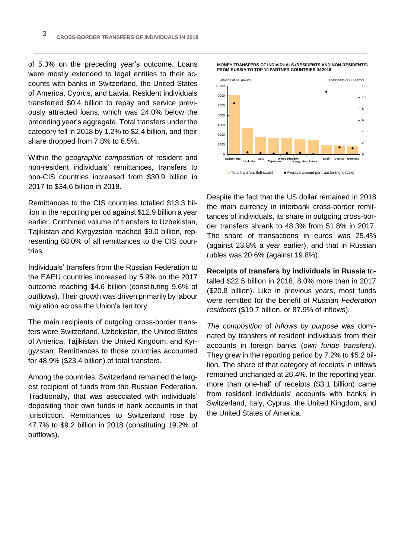of 5.3% on the preceding year's outcome. Loans were mostly extended to legal entities to their accounts with banks in Switzerland, the United States of America, Cyprus, and Latvia. Resident individuals transferred \$0.4 billion to repay and service previously attracted loans, which was 24.0% below the preceding year's aggregate. Total transfers under the category fell in 2018 by 1.2% to \$2.4 billion, and their share dropped from 7.8% to 6.5%.

Within the *geographic composition* of resident and non-resident individuals' remittances, transfers to non-CIS countries increased from \$30.9 billion in 2017 to \$34.6 billion in 2018.

Remittances to the CIS countries totalled \$13.3 billion in the reporting period against \$12.9 billion a year earlier. Combined volume of transfers to Uzbekistan, Tajikistan and Kyrgyzstan reached \$9.0 billion, representing 68.0% of all remittances to the CIS countries.

Individuals' transfers from the Russian Federation to the EAEU countries increased by 5.9% on the 2017 outcome reaching \$4.6 billion (constituting 9.6% of outflows). Their growth was driven primarily by labour migration across the Union's territory.

The main recipients of outgoing cross-border transfers were Switzerland, Uzbekistan, the United States of America, Tajikistan, the United Kingdom, and Kyrgyzstan. Remittances to those countries accounted for 48.9% (\$23.4 billion) of total transfers.

Among the countries, Switzerland remained the largest recipient of funds from the Russian Federation. Traditionally, that was associated with individuals' depositing their own funds in bank accounts in that jurisdiction. Remittances to Switzerland rose by 47.7% to \$9.2 billion in 2018 (constituting 19.2% of outflows).





Despite the fact that the US dollar remained in 2018 the main currency in interbank cross-border remittances of individuals, its share in outgoing cross-border transfers shrank to 48.3% from 51.8% in 2017. The share of transactions in euros was 25.4% (against 23.8% a year earlier), and that in Russian rubles was 20.6% (against 19.8%).

**Receipts of transfers by individuals in Russia** totalled \$22.5 billion in 2018, 8.0% more than in 2017 (\$20.8 billion). Like in previous years, most funds were remitted for the benefit of *Russian Federation residents* (\$19.7 billion, or 87.9% of inflows).

*The composition* of *inflows by purpose* was dominated by transfers of resident individuals from their accounts in foreign banks (*own funds transfers*). They grew in the reporting period by 7.2% to \$5.2 billion. The share of that category of receipts in inflows remained unchanged at 26.4%. In the reporting year, more than one-half of receipts (\$3.1 billion) came from resident individuals' accounts with banks in Switzerland, Italy, Cyprus, the United Kingdom, and the United States of America.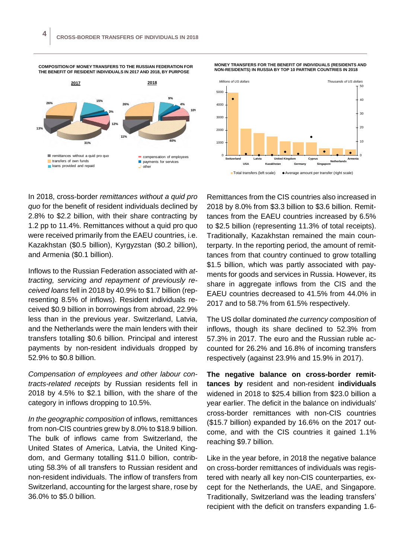





In 2018, cross-border *remittances without a quid pro quo* for the benefit of resident individuals declined by 2.8% to \$2.2 billion, with their share contracting by 1.2 pp to 11.4%. Remittances without a quid pro quo were received primarily from the EAEU countries, i.e. Kazakhstan (\$0.5 billion), Kyrgyzstan (\$0.2 billion), and Armenia (\$0.1 billion).

Inflows to the Russian Federation associated with *attracting, servicing and repayment of previously received loans* fell in 2018 by 40.9% to \$1.7 billion (representing 8.5% of inflows). Resident individuals received \$0.9 billion in borrowings from abroad, 22.9% less than in the previous year. Switzerland, Latvia, and the Netherlands were the main lenders with their transfers totalling \$0.6 billion. Principal and interest payments by non-resident individuals dropped by 52.9% to \$0.8 billion.

*Compensation of employees and other labour contracts-related receipts* by Russian residents fell in 2018 by 4.5% to \$2.1 billion, with the share of the category in inflows dropping to 10.5%.

*In the geographic composition* of inflows, remittances from non-CIS countries grew by 8.0% to \$18.9 billion. The bulk of inflows came from Switzerland, the United States of America, Latvia, the United Kingdom, and Germany totalling \$11.0 billion, contributing 58.3% of all transfers to Russian resident and non-resident individuals. The inflow of transfers from Switzerland, accounting for the largest share, rose by 36.0% to \$5.0 billion.

Remittances from the CIS countries also increased in 2018 by 8.0% from \$3.3 billion to \$3.6 billion. Remittances from the EAEU countries increased by 6.5% to \$2.5 billion (representing 11.3% of total receipts). Traditionally, Kazakhstan remained the main counterparty. In the reporting period, the amount of remittances from that country continued to grow totalling \$1.5 billion, which was partly associated with payments for goods and services in Russia. However, its share in aggregate inflows from the CIS and the EAEU countries decreased to 41.5% from 44.0% in 2017 and to 58.7% from 61.5% respectively.

The US dollar dominated *the currency composition* of inflows, though its share declined to 52.3% from 57.3% in 2017. The euro and the Russian ruble accounted for 26.2% and 16.8% of incoming transfers respectively (against 23.9% and 15.9% in 2017).

**The negative balance on cross-border remittances by** resident and non-resident **individuals** widened in 2018 to \$25.4 billion from \$23.0 billion a year earlier. The deficit in the balance on individuals' cross-border remittances with non-CIS countries (\$15.7 billion) expanded by 16.6% on the 2017 outcome, and with the CIS countries it gained 1.1% reaching \$9.7 billion.

Like in the year before, in 2018 the negative balance on cross-border remittances of individuals was registered with nearly all key non-CIS counterparties, except for the Netherlands, the UAE, and Singapore. Traditionally, Switzerland was the leading transfers' recipient with the deficit on transfers expanding 1.6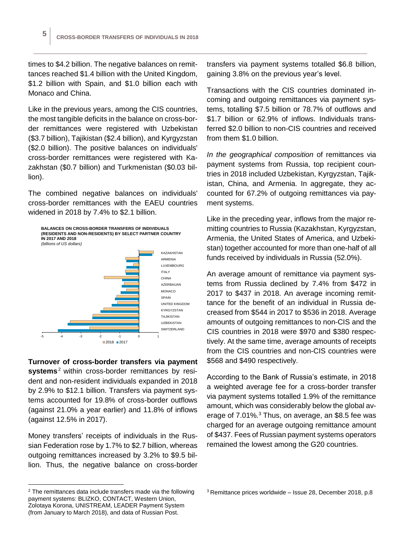times to \$4.2 billion. The negative balances on remittances reached \$1.4 billion with the United Kingdom, \$1.2 billion with Spain, and \$1.0 billion each with Monaco and China.

Like in the previous years, among the CIS countries, the most tangible deficits in the balance on cross-border remittances were registered with Uzbekistan (\$3.7 billion), Tajikistan (\$2.4 billion), and Kyrgyzstan (\$2.0 billion). The positive balances on individuals' cross-border remittances were registered with Kazakhstan (\$0.7 billion) and Turkmenistan (\$0.03 billion).

The combined negative balances on individuals' cross-border remittances with the EAEU countries widened in 2018 by 7.4% to \$2.1 billion.



**Turnover of cross-border transfers via payment systems**<sup>2</sup> within cross-border remittances by resident and non-resident individuals expanded in 2018 by 2.9% to \$12.1 billion. Transfers via payment systems accounted for 19.8% of cross-border outflows (against 21.0% a year earlier) and 11.8% of inflows (against 12.5% in 2017).

Money transfers' receipts of individuals in the Russian Federation rose by 1.7% to \$2.7 billion, whereas outgoing remittances increased by 3.2% to \$9.5 billion. Thus, the negative balance on cross-border

<sup>2</sup> The remittances data include transfers made via the following payment systems: BLIZKO, CONTACT, Western Union, Zolotaya Korona, UNISTREAM, LEADER Payment System (from January to March 2018), and data of Russian Post.

 $\overline{a}$ 

transfers via payment systems totalled \$6.8 billion, gaining 3.8% on the previous year's level.

Transactions with the CIS countries dominated incoming and outgoing remittances via payment systems, totalling \$7.5 billion or 78.7% of outflows and \$1.7 billion or 62.9% of inflows. Individuals transferred \$2.0 billion to non-CIS countries and received from them \$1.0 billion.

*In the geographical composition* of remittances via payment systems from Russia, top recipient countries in 2018 included Uzbekistan, Kyrgyzstan, Tajikistan, China, and Armenia. In aggregate, they accounted for 67.2% of outgoing remittances via payment systems.

Like in the preceding year, inflows from the major remitting countries to Russia (Kazakhstan, Kyrgyzstan, Armenia, the United States of America, and Uzbekistan) together accounted for more than one-half of all funds received by individuals in Russia (52.0%).

An average amount of remittance via payment systems from Russia declined by 7.4% from \$472 in 2017 to \$437 in 2018. An average incoming remittance for the benefit of an individual in Russia decreased from \$544 in 2017 to \$536 in 2018. Average amounts of outgoing remittances to non-CIS and the CIS countries in 2018 were \$970 and \$380 respectively. At the same time, average amounts of receipts from the CIS countries and non-CIS countries were \$568 and \$490 respectively.

According to the Bank of Russia's estimate, in 2018 a weighted average fee for a cross-border transfer via payment systems totalled 1.9% of the remittance amount, which was considerably below the global average of 7.01%.<sup>3</sup> Thus, on average, an \$8.5 fee was charged for an average outgoing remittance amount of \$437. Fees of Russian payment systems operators remained the lowest among the G20 countries.

 $3$  Remittance prices worldwide – Issue 28, December 2018, p.8